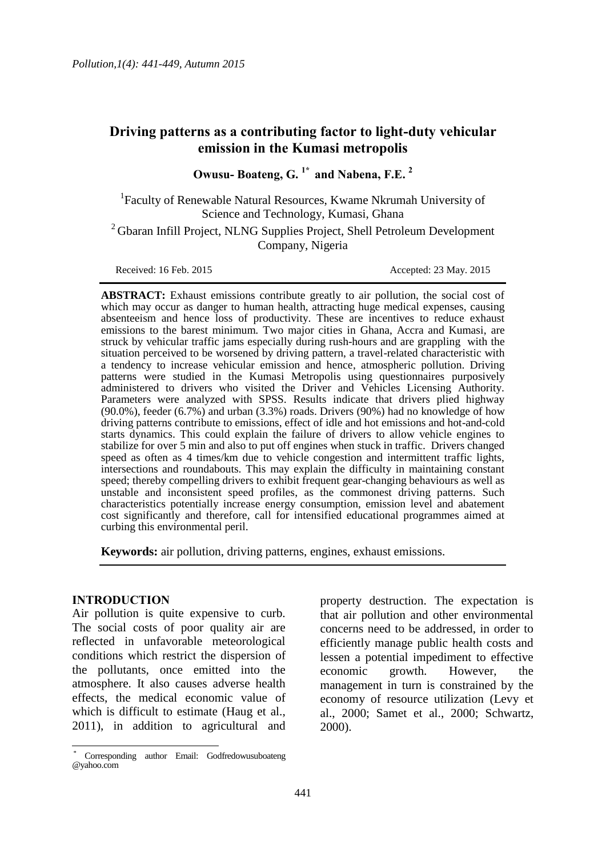# **Driving patterns as a contributing factor to light-duty vehicular emission in the Kumasi metropolis**

**Owusu- Boateng, G. 1\* and Nabena, F.E. <sup>2</sup>**

<sup>1</sup>Faculty of Renewable Natural Resources, Kwame Nkrumah University of Science and Technology, Kumasi, Ghana

<sup>2</sup> Gbaran Infill Project, NLNG Supplies Project, Shell Petroleum Development Company, Nigeria

Received: 16 Feb. 2015 **Accepted: 23 May. 2015** 

**ABSTRACT:** Exhaust emissions contribute greatly to air pollution, the social cost of which may occur as danger to human health, attracting huge medical expenses, causing absenteeism and hence loss of productivity. These are incentives to reduce exhaust emissions to the barest minimum. Two major cities in Ghana, Accra and Kumasi, are struck by vehicular traffic jams especially during rush-hours and are grappling with the situation perceived to be worsened by driving pattern, a travel-related characteristic with a tendency to increase vehicular emission and hence, atmospheric pollution. Driving patterns were studied in the Kumasi Metropolis using questionnaires purposively administered to drivers who visited the Driver and Vehicles Licensing Authority. Parameters were analyzed with SPSS. Results indicate that drivers plied highway (90.0%), feeder (6.7%) and urban (3.3%) roads. Drivers (90%) had no knowledge of how driving patterns contribute to emissions, effect of idle and hot emissions and hot-and-cold starts dynamics. This could explain the failure of drivers to allow vehicle engines to stabilize for over 5 min and also to put off engines when stuck in traffic. Drivers changed speed as often as 4 times/km due to vehicle congestion and intermittent traffic lights, intersections and roundabouts. This may explain the difficulty in maintaining constant speed; thereby compelling drivers to exhibit frequent gear-changing behaviours as well as unstable and inconsistent speed profiles, as the commonest driving patterns. Such characteristics potentially increase energy consumption, emission level and abatement cost significantly and therefore, call for intensified educational programmes aimed at curbing this environmental peril.

**Keywords:** air pollution, driving patterns, engines, exhaust emissions.

#### **INTRODUCTION**

 $\overline{a}$ 

Air pollution is quite expensive to curb. The social costs of poor quality air are reflected in unfavorable meteorological conditions which restrict the dispersion of the pollutants, once emitted into the atmosphere. It also causes adverse health effects, the medical economic value of which is difficult to estimate (Haug et al., 2011), in addition to agricultural and

property destruction. The expectation is that air pollution and other environmental concerns need to be addressed, in order to efficiently manage public health costs and lessen a potential impediment to effective economic growth. However, the management in turn is constrained by the economy of resource utilization (Levy et al., 2000; Samet et al., 2000; Schwartz, 2000).

Corresponding author Email: Godfredowusuboateng @yahoo.com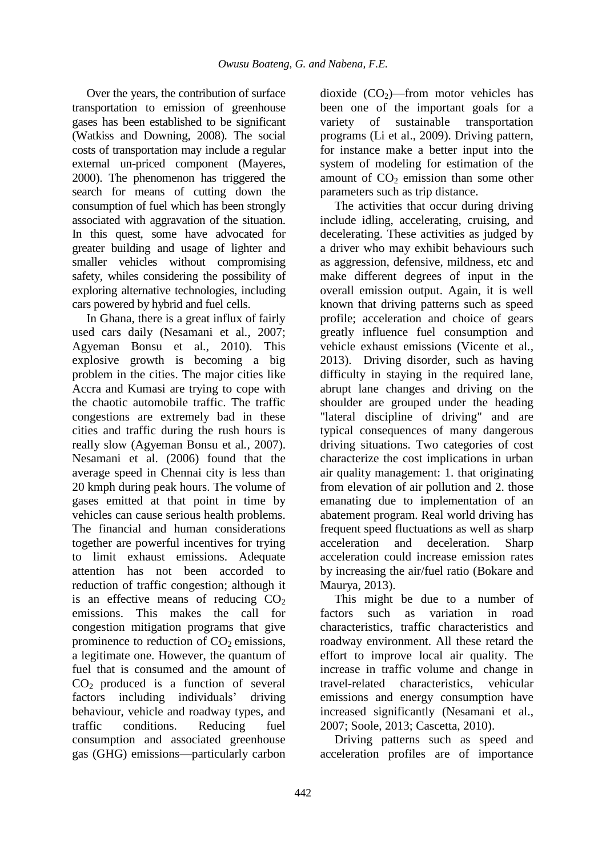Over the years, the contribution of surface transportation to emission of greenhouse gases has been established to be significant (Watkiss and Downing, 2008). The social costs of transportation may include a regular external un-priced component (Mayeres, 2000). The phenomenon has triggered the search for means of cutting down the consumption of fuel which has been strongly associated with aggravation of the situation. In this quest, some have advocated for greater building and usage of lighter and smaller vehicles without compromising safety, whiles considering the possibility of exploring alternative technologies, including cars powered by hybrid and fuel cells.

In Ghana, there is a great influx of fairly used cars daily (Nesamani et al*.,* 2007; Agyeman Bonsu et al*.,* 2010). This explosive growth is becoming a big problem in the cities. The major cities like Accra and Kumasi are trying to cope with the chaotic automobile traffic. The traffic congestions are extremely bad in these cities and traffic during the rush hours is really slow (Agyeman Bonsu et al*.,* 2007). Nesamani et al. (2006) found that the average speed in Chennai city is less than 20 kmph during peak hours. The volume of gases emitted at that point in time by vehicles can cause serious health problems. The financial and human considerations together are powerful incentives for trying to limit exhaust emissions. Adequate attention has not been accorded to reduction of traffic congestion; although it is an effective means of reducing  $CO<sub>2</sub>$ emissions. This makes the call for congestion mitigation programs that give prominence to reduction of  $CO<sub>2</sub>$  emissions, a legitimate one. However, the quantum of fuel that is consumed and the amount of  $CO<sub>2</sub>$  produced is a function of several factors including individuals' driving behaviour, vehicle and roadway types, and traffic conditions. Reducing fuel consumption and associated greenhouse gas (GHG) emissions—particularly carbon

dioxide  $(CO<sub>2</sub>)$ —from motor vehicles has been one of the important goals for a variety of sustainable transportation programs (Li et al., 2009). Driving pattern, for instance make a better input into the system of modeling for estimation of the amount of  $CO<sub>2</sub>$  emission than some other parameters such as trip distance.

The activities that occur during driving include idling, accelerating, cruising, and decelerating. These activities as judged by a driver who may exhibit behaviours such as aggression, defensive, mildness, etc and make different degrees of input in the overall emission output. Again, it is well known that driving patterns such as speed profile; acceleration and choice of gears greatly influence fuel consumption and vehicle exhaust emissions (Vicente et al*.,*  2013). Driving disorder, such as having difficulty in staying in the required lane, abrupt lane changes and driving on the shoulder are grouped under the heading "lateral discipline of driving" and are typical consequences of many dangerous driving situations. Two categories of cost characterize the cost implications in urban air quality management: 1. that originating from elevation of air pollution and 2. those emanating due to implementation of an abatement program. Real world driving has frequent speed fluctuations as well as sharp acceleration and deceleration. Sharp acceleration could increase emission rates by increasing the air/fuel ratio (Bokare and Maurya, 2013).

This might be due to a number of factors such as variation in road characteristics, traffic characteristics and roadway environment. All these retard the effort to improve local air quality. The increase in traffic volume and change in travel-related characteristics, vehicular emissions and energy consumption have increased significantly (Nesamani et al., 2007; Soole, 2013; Cascetta, 2010).

Driving patterns such as speed and acceleration profiles are of importance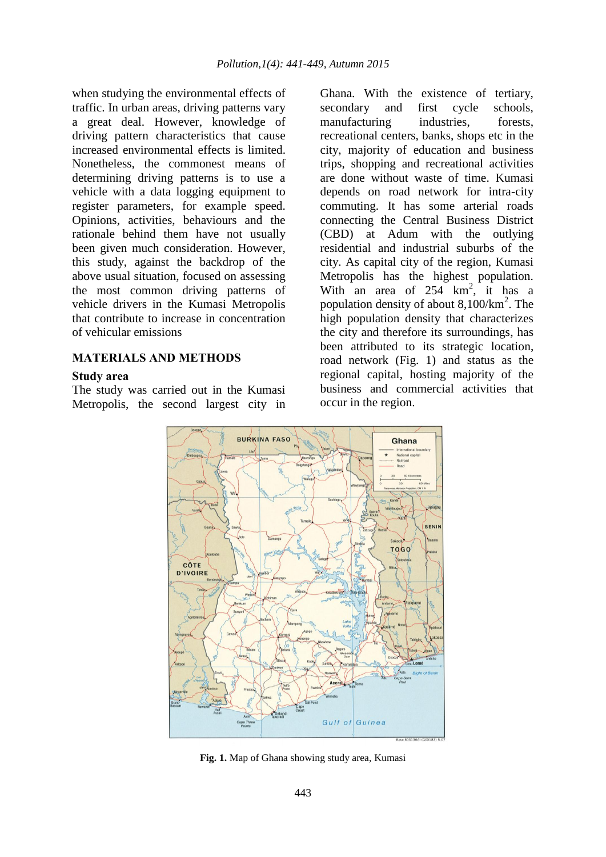when studying the environmental effects of traffic. In urban areas, driving patterns vary a great deal. However, knowledge of driving pattern characteristics that cause increased environmental effects is limited. Nonetheless, the commonest means of determining driving patterns is to use a vehicle with a data logging equipment to register parameters, for example speed. Opinions, activities, behaviours and the rationale behind them have not usually been given much consideration. However, this study, against the backdrop of the above usual situation, focused on assessing the most common driving patterns of vehicle drivers in the Kumasi Metropolis that contribute to increase in concentration of vehicular emissions

#### **MATERIALS AND METHODS**

#### **Study area**

The study was carried out in the Kumasi Metropolis, the second largest city in Ghana. With the existence of tertiary, secondary and first cycle schools, manufacturing industries, forests, recreational centers, banks, shops etc in the city, majority of education and business trips, shopping and recreational activities are done without waste of time. Kumasi depends on road network for intra-city commuting. It has some arterial roads connecting the Central Business District (CBD) at Adum with the outlying residential and industrial suburbs of the city. As capital city of the region, Kumasi Metropolis has the highest population. With an area of  $254 \text{ km}^2$ , it has a population density of about  $8,100/km^2$ . The high population density that characterizes the city and therefore its surroundings, has been attributed to its strategic location, road network (Fig. 1) and status as the regional capital, hosting majority of the business and commercial activities that occur in the region.



**Fig. 1.** Map of Ghana showing study area, Kumasi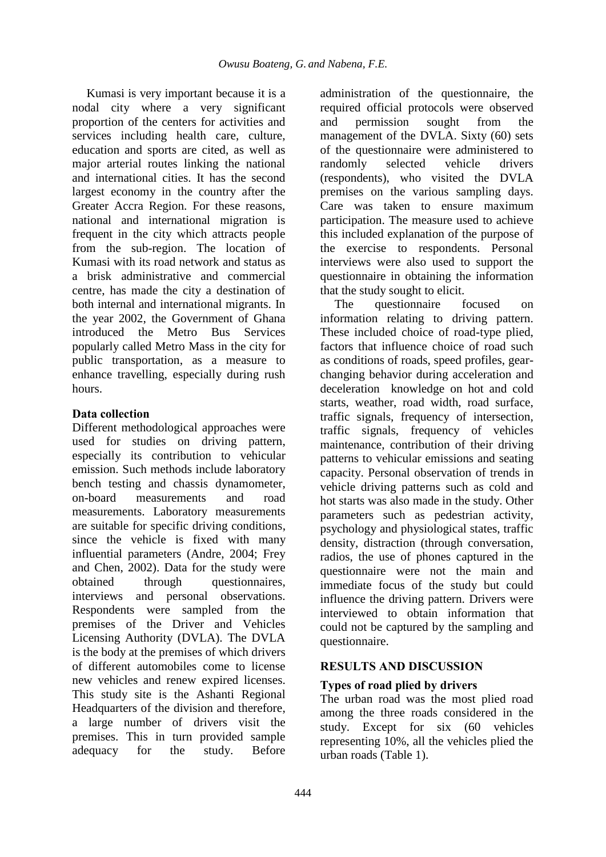Kumasi is very important because it is a nodal city where a very significant proportion of the centers for activities and services including health care, culture, education and sports are cited, as well as major arterial routes linking the national and international cities. It has the second largest economy in the country after the Greater Accra Region. For these reasons, national and international migration is frequent in the city which attracts people from the sub-region. The location of Kumasi with its road network and status as a brisk administrative and commercial centre, has made the city a destination of both internal and international migrants. In the year 2002, the Government of Ghana introduced the Metro Bus Services popularly called Metro Mass in the city for public transportation, as a measure to enhance travelling, especially during rush hours.

## **Data collection**

Different methodological approaches were used for studies on driving pattern, especially its contribution to vehicular emission. Such methods include laboratory bench testing and chassis dynamometer, on-board measurements and road measurements. Laboratory measurements are suitable for specific driving conditions, since the vehicle is fixed with many influential parameters (Andre, 2004; Frey and Chen, 2002). Data for the study were obtained through questionnaires, interviews and personal observations. Respondents were sampled from the premises of the Driver and Vehicles Licensing Authority (DVLA). The DVLA is the body at the premises of which drivers of different automobiles come to license new vehicles and renew expired licenses. This study site is the Ashanti Regional Headquarters of the division and therefore, a large number of drivers visit the premises. This in turn provided sample adequacy for the study. Before

administration of the questionnaire, the required official protocols were observed and permission sought from the management of the DVLA. Sixty (60) sets of the questionnaire were administered to randomly selected vehicle drivers (respondents), who visited the DVLA premises on the various sampling days. Care was taken to ensure maximum participation. The measure used to achieve this included explanation of the purpose of the exercise to respondents. Personal interviews were also used to support the questionnaire in obtaining the information that the study sought to elicit.

The questionnaire focused on information relating to driving pattern. These included choice of road-type plied, factors that influence choice of road such as conditions of roads, speed profiles, gearchanging behavior during acceleration and deceleration knowledge on hot and cold starts, weather, road width, road surface, traffic signals, frequency of intersection, traffic signals, frequency of vehicles maintenance, contribution of their driving patterns to vehicular emissions and seating capacity. Personal observation of trends in vehicle driving patterns such as cold and hot starts was also made in the study. Other parameters such as pedestrian activity, psychology and physiological states, traffic density, distraction (through conversation, radios, the use of phones captured in the questionnaire were not the main and immediate focus of the study but could influence the driving pattern. Drivers were interviewed to obtain information that could not be captured by the sampling and questionnaire.

## **RESULTS AND DISCUSSION**

## **Types of road plied by drivers**

The urban road was the most plied road among the three roads considered in the study. Except for six (60 vehicles representing 10%, all the vehicles plied the urban roads (Table 1).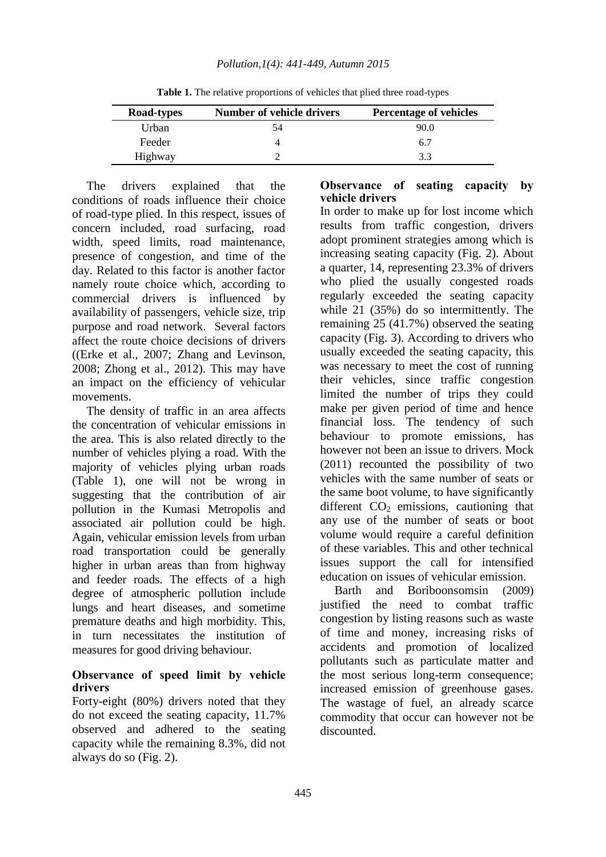| Road-types | Number of vehicle drivers | <b>Percentage of vehicles</b> |
|------------|---------------------------|-------------------------------|
| Urban      | 54                        | 90.0                          |
| Feeder     | 4                         | 6.7                           |
| Highway    |                           | 3.3                           |

**Table 1.** The relative proportions of vehicles that plied three road-types

The drivers explained that the conditions of roads influence their choice of road-type plied. In this respect, issues of concern included, road surfacing, road width, speed limits, road maintenance, presence of congestion, and time of the day. Related to this factor is another factor namely route choice which, according to commercial drivers is influenced by availability of passengers, vehicle size, trip purpose and road network. Several factors affect the route choice decisions of drivers ((Erke et al., 2007; Zhang and Levinson, 2008; Zhong et al., 2012). This may have an impact on the efficiency of vehicular movements.

The density of traffic in an area affects the concentration of vehicular emissions in the area. This is also related directly to the number of vehicles plying a road. With the majority of vehicles plying urban roads (Table 1), one will not be wrong in suggesting that the contribution of air pollution in the Kumasi Metropolis and associated air pollution could be high. Again, vehicular emission levels from urban road transportation could be generally higher in urban areas than from highway and feeder roads. The effects of a high degree of atmospheric pollution include lungs and heart diseases, and sometime premature deaths and high morbidity. This, in turn necessitates the institution of measures for good driving behaviour.

#### **Observance of speed limit by vehicle drivers**

Forty-eight (80%) drivers noted that they do not exceed the seating capacity, 11.7% observed and adhered to the seating capacity while the remaining 8.3%, did not always do so (Fig. 2).

### **Observance of seating capacity by vehicle drivers**

In order to make up for lost income which results from traffic congestion, drivers adopt prominent strategies among which is increasing seating capacity (Fig. 2). About a quarter, 14, representing 23.3% of drivers who plied the usually congested roads regularly exceeded the seating capacity while 21 (35%) do so intermittently. The remaining 25 (41.7%) observed the seating capacity (Fig. 3). According to drivers who usually exceeded the seating capacity, this was necessary to meet the cost of running their vehicles, since traffic congestion limited the number of trips they could make per given period of time and hence financial loss. The tendency of such behaviour to promote emissions, has however not been an issue to drivers. Mock (2011) recounted the possibility of two vehicles with the same number of seats or the same boot volume, to have significantly different  $CO<sub>2</sub>$  emissions, cautioning that any use of the number of seats or boot volume would require a careful definition of these variables. This and other technical issues support the call for intensified education on issues of vehicular emission.

Barth and Boriboonsomsin (2009) justified the need to combat traffic congestion by listing reasons such as waste of time and money, increasing risks of accidents and promotion of localized pollutants such as particulate matter and the most serious long-term consequence; increased emission of greenhouse gases. The wastage of fuel, an already scarce commodity that occur can however not be discounted.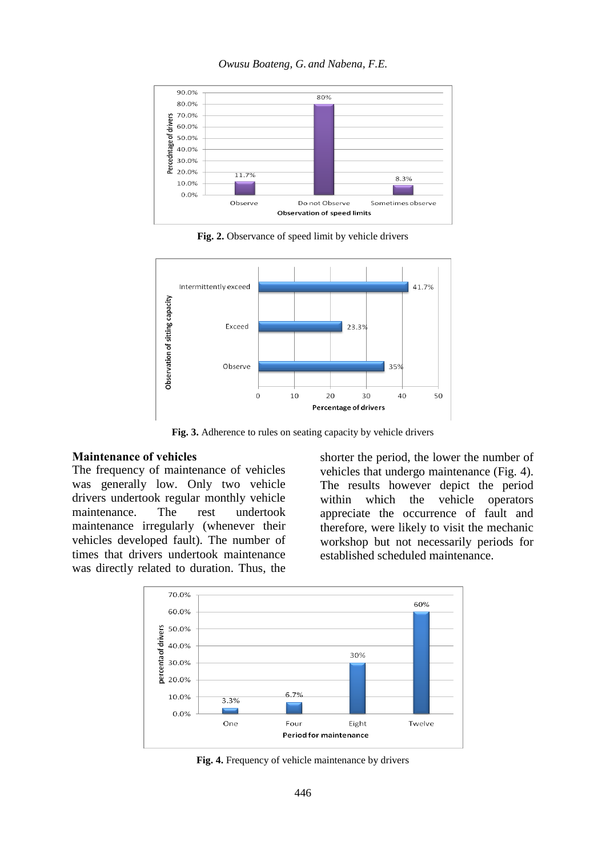

*Owusu Boateng, G. and Nabena, F.E.*

**Fig. 2.** Observance of speed limit by vehicle drivers



**Fig. 3.** Adherence to rules on seating capacity by vehicle drivers

#### **Maintenance of vehicles**

The frequency of maintenance of vehicles was generally low. Only two vehicle drivers undertook regular monthly vehicle maintenance. The rest undertook maintenance irregularly (whenever their vehicles developed fault). The number of times that drivers undertook maintenance was directly related to duration. Thus, the shorter the period, the lower the number of vehicles that undergo maintenance (Fig. 4). The results however depict the period within which the vehicle operators appreciate the occurrence of fault and therefore, were likely to visit the mechanic workshop but not necessarily periods for established scheduled maintenance.



**Fig. 4.** Frequency of vehicle maintenance by drivers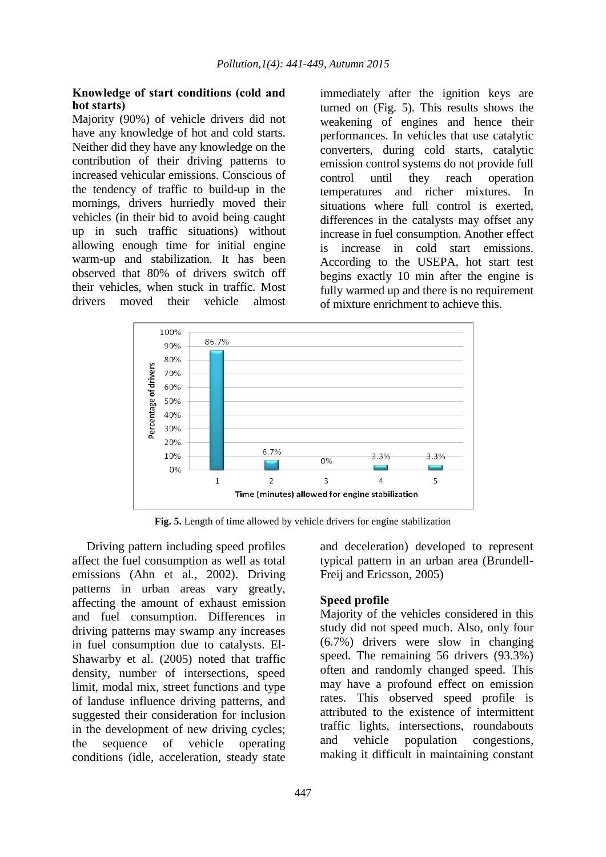#### **Knowledge of start conditions (cold and hot starts)**

Majority (90%) of vehicle drivers did not have any knowledge of hot and cold starts. Neither did they have any knowledge on the contribution of their driving patterns to increased vehicular emissions. Conscious of the tendency of traffic to build-up in the mornings, drivers hurriedly moved their vehicles (in their bid to avoid being caught up in such traffic situations) without allowing enough time for initial engine warm-up and stabilization. It has been observed that 80% of drivers switch off their vehicles, when stuck in traffic. Most drivers moved their vehicle almost

immediately after the ignition keys are turned on (Fig. 5). This results shows the weakening of engines and hence their performances. In vehicles that use catalytic converters, during cold starts, catalytic emission control systems do not provide full control until they reach operation temperatures and richer mixtures. In situations where full control is exerted, differences in the catalysts may offset any increase in fuel consumption. Another effect is increase in cold start emissions. According to the USEPA, hot start test begins exactly 10 min after the engine is fully warmed up and there is no requirement of mixture enrichment to achieve this.



**Fig. 5.** Length of time allowed by vehicle drivers for engine stabilization

Driving pattern including speed profiles affect the fuel consumption as well as total emissions (Ahn et al*.,* 2002). Driving patterns in urban areas vary greatly, affecting the amount of exhaust emission and fuel consumption. Differences in driving patterns may swamp any increases in fuel consumption due to catalysts. El-Shawarby et al. (2005) noted that traffic density, number of intersections, speed limit, modal mix, street functions and type of landuse influence driving patterns, and suggested their consideration for inclusion in the development of new driving cycles; the sequence of vehicle operating conditions (idle, acceleration, steady state and deceleration) developed to represent typical pattern in an urban area (Brundell-Freij and Ericsson, 2005)

### **Speed profile**

Majority of the vehicles considered in this study did not speed much. Also, only four (6.7%) drivers were slow in changing speed. The remaining 56 drivers (93.3%) often and randomly changed speed. This may have a profound effect on emission rates. This observed speed profile is attributed to the existence of intermittent traffic lights, intersections, roundabouts and vehicle population congestions, making it difficult in maintaining constant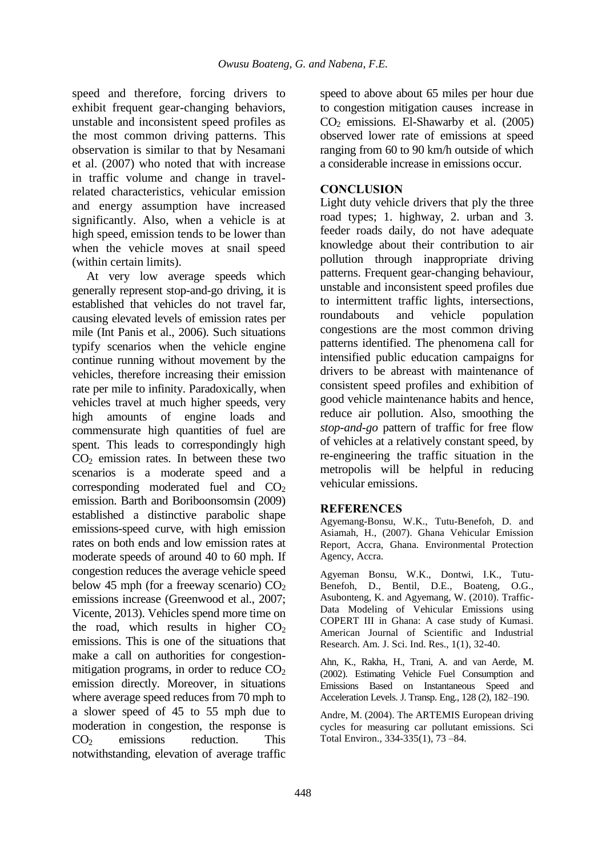speed and therefore, forcing drivers to exhibit frequent gear-changing behaviors, unstable and inconsistent speed profiles as the most common driving patterns. This observation is similar to that by Nesamani et al. (2007) who noted that with increase in traffic volume and change in travelrelated characteristics, vehicular emission and energy assumption have increased significantly. Also, when a vehicle is at high speed, emission tends to be lower than when the vehicle moves at snail speed (within certain limits).

At very low average speeds which generally represent stop-and-go driving, it is established that vehicles do not travel far, causing elevated levels of emission rates per mile (Int Panis et al., 2006). Such situations typify scenarios when the vehicle engine continue running without movement by the vehicles, therefore increasing their emission rate per mile to infinity. Paradoxically, when vehicles travel at much higher speeds, very high amounts of engine loads and commensurate high quantities of fuel are spent. This leads to correspondingly high  $CO<sub>2</sub>$  emission rates. In between these two scenarios is a moderate speed and a corresponding moderated fuel and  $CO<sub>2</sub>$ emission. Barth and Boriboonsomsin (2009) established a distinctive parabolic shape emissions-speed curve, with high emission rates on both ends and low emission rates at moderate speeds of around 40 to 60 mph. If congestion reduces the average vehicle speed below 45 mph (for a freeway scenario)  $CO<sub>2</sub>$ emissions increase (Greenwood et al., 2007; Vicente, 2013). Vehicles spend more time on the road, which results in higher  $CO<sub>2</sub>$ emissions. This is one of the situations that make a call on authorities for congestionmitigation programs, in order to reduce  $CO<sub>2</sub>$ emission directly. Moreover, in situations where average speed reduces from 70 mph to a slower speed of 45 to 55 mph due to moderation in congestion, the response is  $CO<sub>2</sub>$  emissions reduction. This notwithstanding, elevation of average traffic

speed to above about 65 miles per hour due to congestion mitigation causes increase in  $CO<sub>2</sub>$  emissions. El-Shawarby et al. (2005) observed lower rate of emissions at speed ranging from 60 to 90 km/h outside of which a considerable increase in emissions occur.

### **CONCLUSION**

Light duty vehicle drivers that ply the three road types; 1. highway, 2. urban and 3. feeder roads daily, do not have adequate knowledge about their contribution to air pollution through inappropriate driving patterns. Frequent gear-changing behaviour, unstable and inconsistent speed profiles due to intermittent traffic lights, intersections, roundabouts and vehicle population congestions are the most common driving patterns identified. The phenomena call for intensified public education campaigns for drivers to be abreast with maintenance of consistent speed profiles and exhibition of good vehicle maintenance habits and hence, reduce air pollution. Also, smoothing the *stop-and-go* pattern of traffic for free flow of vehicles at a relatively constant speed, by re-engineering the traffic situation in the metropolis will be helpful in reducing vehicular emissions.

### **REFERENCES**

Agyemang-Bonsu, W.K., Tutu-Benefoh, D. and Asiamah, H., (2007). Ghana Vehicular Emission Report, Accra, Ghana. Environmental Protection Agency, Accra.

Agyeman Bonsu, W.K., Dontwi, I.K., Tutu-Benefoh, D., Bentil, D.E., Boateng, O.G., Asubonteng, K. and Agyemang, W. (2010). Traffic-Data Modeling of Vehicular Emissions using COPERT III in Ghana: A case study of Kumasi. American Journal of Scientific and Industrial Research. Am. J. Sci. Ind. Res., 1(1), 32-40.

Ahn, K., Rakha, H., Trani, A. and van Aerde, M. (2002). Estimating Vehicle Fuel Consumption and Emissions Based on Instantaneous Speed and Acceleration Levels. J. Transp. Eng., 128 (2), 182–190.

Andre, M. (2004). The ARTEMIS European driving cycles for measuring car pollutant emissions. Sci Total Environ., 334-335(1), 73 –84.